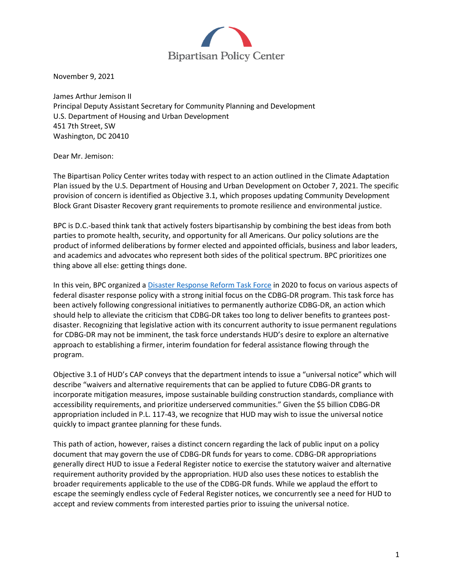

November 9, 2021

James Arthur Jemison II Principal Deputy Assistant Secretary for Community Planning and Development U.S. Department of Housing and Urban Development 451 7th Street, SW Washington, DC 20410

Dear Mr. Jemison:

The Bipartisan Policy Center writes today with respect to an action outlined in the Climate Adaptation Plan issued by the U.S. Department of Housing and Urban Development on October 7, 2021. The specific provision of concern is identified as Objective 3.1, which proposes updating Community Development Block Grant Disaster Recovery grant requirements to promote resilience and environmental justice.

BPC is D.C.-based think tank that actively fosters bipartisanship by combining the best ideas from both parties to promote health, security, and opportunity for all Americans. Our policy solutions are the product of informed deliberations by former elected and appointed officials, business and labor leaders, and academics and advocates who represent both sides of the political spectrum. BPC prioritizes one thing above all else: getting things done.

In this vein, BPC organized a [Disaster Response Reform Task Force](https://bipartisanpolicy.org/disaster-response-reform-task-force/) in 2020 to focus on various aspects of federal disaster response policy with a strong initial focus on the CDBG-DR program. This task force has been actively following congressional initiatives to permanently authorize CDBG-DR, an action which should help to alleviate the criticism that CDBG-DR takes too long to deliver benefits to grantees postdisaster. Recognizing that legislative action with its concurrent authority to issue permanent regulations for CDBG-DR may not be imminent, the task force understands HUD's desire to explore an alternative approach to establishing a firmer, interim foundation for federal assistance flowing through the program.

Objective 3.1 of HUD's CAP conveys that the department intends to issue a "universal notice" which will describe "waivers and alternative requirements that can be applied to future CDBG-DR grants to incorporate mitigation measures, impose sustainable building construction standards, compliance with accessibility requirements, and prioritize underserved communities." Given the \$5 billion CDBG-DR appropriation included in P.L. 117-43, we recognize that HUD may wish to issue the universal notice quickly to impact grantee planning for these funds.

This path of action, however, raises a distinct concern regarding the lack of public input on a policy document that may govern the use of CDBG-DR funds for years to come. CDBG-DR appropriations generally direct HUD to issue a Federal Register notice to exercise the statutory waiver and alternative requirement authority provided by the appropriation. HUD also uses these notices to establish the broader requirements applicable to the use of the CDBG-DR funds. While we applaud the effort to escape the seemingly endless cycle of Federal Register notices, we concurrently see a need for HUD to accept and review comments from interested parties prior to issuing the universal notice.